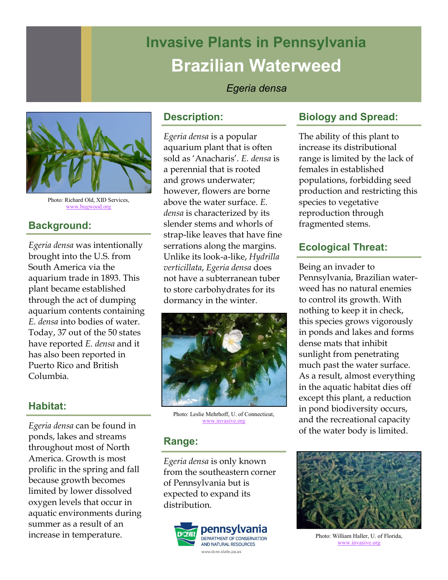# **Invasive Plants in Pennsylvania Brazilian Waterweed**

#### *Egeria densa*



Photo: Richard Old, XID Services, [www.bugwood.org](http://www.bugwood.org/)

## **Background:**

*Egeria densa* was intentionally brought into the U.S. from South America via the aquarium trade in 1893. This plant became established through the act of dumping aquarium contents containing *E. densa* into bodies of water. Today, 37 out of the 50 states have reported *E. densa* and it has also been reported in Puerto Rico and British Columbia.

#### **Habitat:**

*Egeria densa* can be found in ponds, lakes and streams throughout most of North America. Growth is most prolific in the spring and fall because growth becomes limited by lower dissolved oxygen levels that occur in aquatic environments during summer as a result of an increase in temperature.

#### **Description:**

*Egeria densa* is a popular aquarium plant that is often sold as 'Anacharis'. *E. densa* is a perennial that is rooted and grows underwater; however, flowers are borne above the water surface. *E. densa* is characterized by its slender stems and whorls of strap-like leaves that have fine serrations along the margins. Unlike its look-a-like, *Hydrilla verticillata*, *Egeria densa* does not have a subterranean tuber to store carbohydrates for its dormancy in the winter.



Photo: Leslie Mehrhoff, U. of Connecticut, [www.invasive.org](http://www.invasive.org/)

#### **Range:**

*Egeria densa* is only known from the southeastern corner of Pennsylvania but is expected to expand its distribution.



#### **Biology and Spread:**

The ability of this plant to increase its distributional range is limited by the lack of females in established populations, forbidding seed production and restricting this species to vegetative reproduction through fragmented stems.

## **Ecological Threat:**

Being an invader to Pennsylvania, Brazilian waterweed has no natural enemies to control its growth. With nothing to keep it in check, this species grows vigorously in ponds and lakes and forms dense mats that inhibit sunlight from penetrating much past the water surface. As a result, almost everything in the aquatic habitat dies off except this plant, a reduction in pond biodiversity occurs, and the recreational capacity of the water body is limited.



Photo: William Haller, U. of Florida, [www.invasive.org](http://www.invasive.org/)